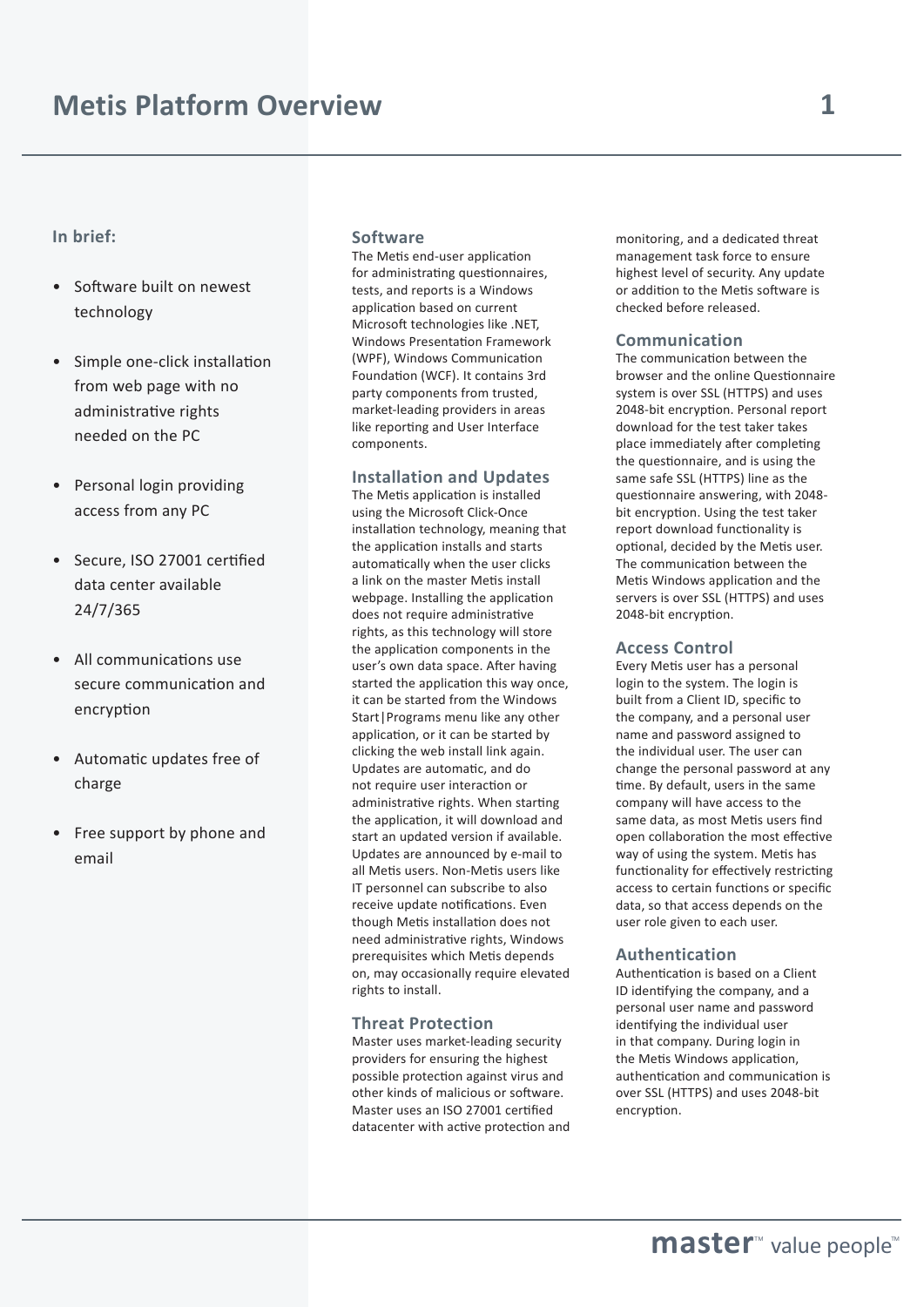# **In brief:**

- Software built on newest technology
- Simple one-click installation from web page with no administrative rights needed on the PC
- Personal login providing access from any PC
- Secure, ISO 27001 certified data center available 24/7/365
- All communications use secure communication and encryption
- Automatic updates free of charge
- Free support by phone and email

#### **Software**

The Metis end-user application for administrating questionnaires, tests, and reports is a Windows application based on current Microsoft technologies like .NET, Windows Presentation Framework (WPF), Windows Communication Foundation (WCF). It contains 3rd party components from trusted, market-leading providers in areas like reporting and User Interface components.

## **Installation and Updates**

The Metis application is installed using the Microsoft Click-Once installation technology, meaning that the application installs and starts automatically when the user clicks a link on the master Metis install webpage. Installing the application does not require administrative rights, as this technology will store the application components in the user's own data space. After having started the application this way once, it can be started from the Windows Start|Programs menu like any other application, or it can be started by clicking the web install link again. Updates are automatic, and do not require user interaction or administrative rights. When starting the application, it will download and start an updated version if available. Updates are announced by e-mail to all Metis users. Non-Metis users like IT personnel can subscribe to also receive update notifications. Even though Metis installation does not need administrative rights, Windows prerequisites which Metis depends on, may occasionally require elevated rights to install.

#### **Threat Protection**

Master uses market-leading security providers for ensuring the highest possible protection against virus and other kinds of malicious or software. Master uses an ISO 27001 certified datacenter with active protection and monitoring, and a dedicated threat management task force to ensure highest level of security. Any update or addition to the Metis software is checked before released.

## **Communication**

The communication between the browser and the online Questionnaire system is over SSL (HTTPS) and uses 2048-bit encryption. Personal report download for the test taker takes place immediately after completing the questionnaire, and is using the same safe SSL (HTTPS) line as the questionnaire answering, with 2048 bit encryption. Using the test taker report download functionality is optional, decided by the Metis user. The communication between the Metis Windows application and the servers is over SSL (HTTPS) and uses 2048-bit encryption.

## **Access Control**

Every Metis user has a personal login to the system. The login is built from a Client ID, specific to the company, and a personal user name and password assigned to the individual user. The user can change the personal password at any time. By default, users in the same company will have access to the same data, as most Metis users find open collaboration the most effective way of using the system. Metis has functionality for effectively restricting access to certain functions or specific data, so that access depends on the user role given to each user.

#### **Authentication**

Authentication is based on a Client ID identifying the company, and a personal user name and password identifying the individual user in that company. During login in the Metis Windows application, authentication and communication is over SSL (HTTPS) and uses 2048-bit encryption.